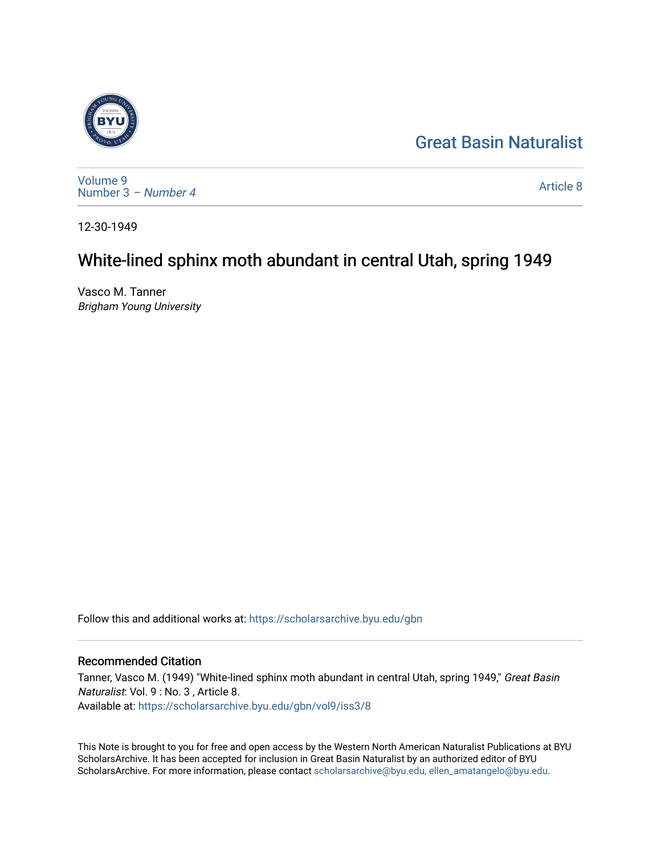## [Great Basin Naturalist](https://scholarsarchive.byu.edu/gbn)



[Volume 9](https://scholarsarchive.byu.edu/gbn/vol9) [Number 3](https://scholarsarchive.byu.edu/gbn/vol9/iss3) – Number 4

[Article 8](https://scholarsarchive.byu.edu/gbn/vol9/iss3/8) 

12-30-1949

## White-lined sphinx moth abundant in central Utah, spring 1949

Vasco M. Tanner Brigham Young University

Follow this and additional works at: [https://scholarsarchive.byu.edu/gbn](https://scholarsarchive.byu.edu/gbn?utm_source=scholarsarchive.byu.edu%2Fgbn%2Fvol9%2Fiss3%2F8&utm_medium=PDF&utm_campaign=PDFCoverPages) 

## Recommended Citation

Tanner, Vasco M. (1949) "White-lined sphinx moth abundant in central Utah, spring 1949," Great Basin Naturalist: Vol. 9 : No. 3 , Article 8. Available at: [https://scholarsarchive.byu.edu/gbn/vol9/iss3/8](https://scholarsarchive.byu.edu/gbn/vol9/iss3/8?utm_source=scholarsarchive.byu.edu%2Fgbn%2Fvol9%2Fiss3%2F8&utm_medium=PDF&utm_campaign=PDFCoverPages) 

This Note is brought to you for free and open access by the Western North American Naturalist Publications at BYU ScholarsArchive. It has been accepted for inclusion in Great Basin Naturalist by an authorized editor of BYU ScholarsArchive. For more information, please contact [scholarsarchive@byu.edu, ellen\\_amatangelo@byu.edu.](mailto:scholarsarchive@byu.edu,%20ellen_amatangelo@byu.edu)